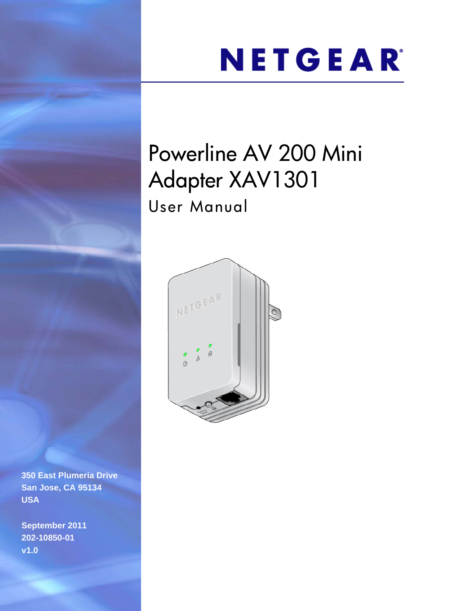# NETGEAR®

## Powerline AV 200 Mini Adapter XAV1301 User Manual



**350 East Plumeria Drive San Jose, CA 95134 USA**

**September 2011 202-10850-01 v1.0**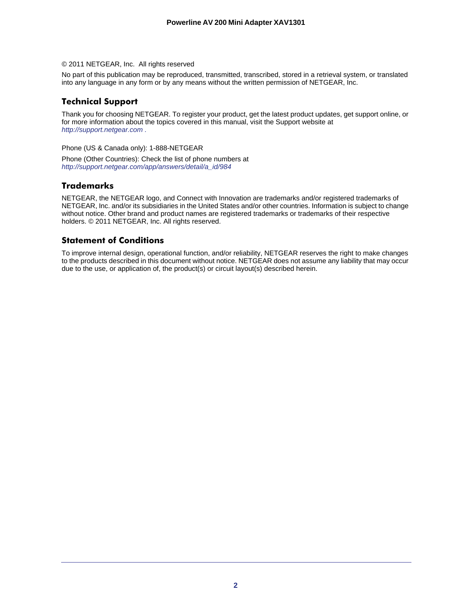#### © 2011 NETGEAR, Inc. All rights reserved

No part of this publication may be reproduced, transmitted, transcribed, stored in a retrieval system, or translated into any language in any form or by any means without the written permission of NETGEAR, Inc.

#### **Technical Support**

Thank you for choosing NETGEAR. To register your product, get the latest product updates, get support online, or for more information about the topics covered in this manual, visit the Support website at *http://support.netgear.com .*

Phone (US & Canada only): 1-888-NETGEAR

Phone (Other Countries): Check the list of phone numbers at *http://support.netgear.com/app/answers/detail/a\_id/984*

#### **Trademarks**

NETGEAR, the NETGEAR logo, and Connect with Innovation are trademarks and/or registered trademarks of NETGEAR, Inc. and/or its subsidiaries in the United States and/or other countries. Information is subject to change without notice. Other brand and product names are registered trademarks or trademarks of their respective holders. © 2011 NETGEAR, Inc. All rights reserved.

#### **Statement of Conditions**

To improve internal design, operational function, and/or reliability, NETGEAR reserves the right to make changes to the products described in this document without notice. NETGEAR does not assume any liability that may occur due to the use, or application of, the product(s) or circuit layout(s) described herein.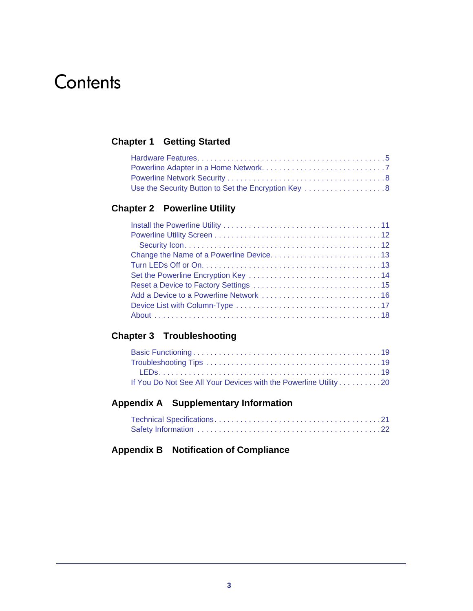## **Contents**

#### **Chapter 1 [Getting Started](#page-3-0)**

| Use the Security Button to Set the Encryption Key 8 |  |
|-----------------------------------------------------|--|

#### **Chapter 2 [Powerline Utility](#page-9-0)**

#### **Chapter 3 [Troubleshooting](#page-18-0)**

| If You Do Not See All Your Devices with the Powerline Utility 20 |  |
|------------------------------------------------------------------|--|

#### **Appendix A [Supplementary Information](#page-20-0)**

#### **Appendix B [Notification of Compliance](#page-22-0)**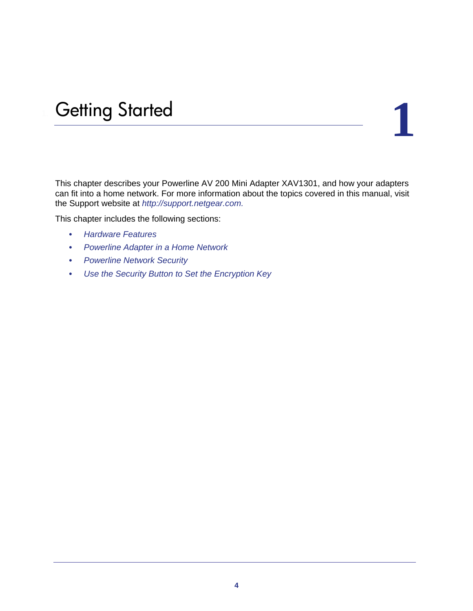# <span id="page-3-0"></span>**1** 1. Getting Started

This chapter describes your Powerline AV 200 Mini Adapter XAV1301, and how your adapters can fit into a home network. For more information about the topics covered in this manual, visit the Support website at *[http://support.netgear.com.](http://suport.netgear.com)*

This chapter includes the following sections:

- *[Hardware Features](#page-4-0)*
- *[Powerline Adapter in a Home Network](#page-6-0)*
- *[Powerline Network Security](#page-7-0)*
- *[Use the Security Button to Set the Encryption Key](#page-7-1)*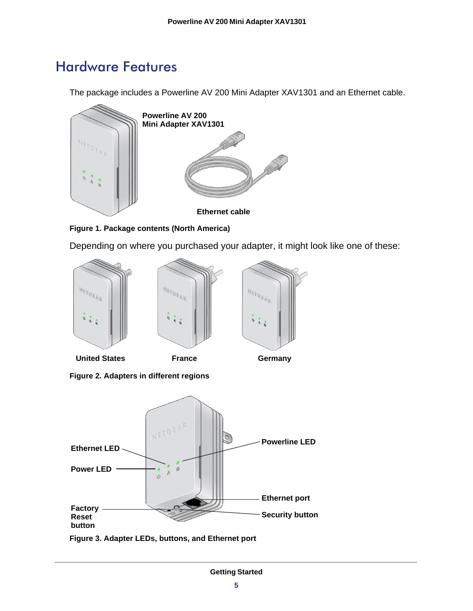## <span id="page-4-0"></span>Hardware Features

The package includes a Powerline AV 200 Mini Adapter XAV1301 and an Ethernet cable.



**Figure 1. Package contents (North America)**

Depending on where you purchased your adapter, it might look like one of these:







**Figure 2. Adapters in different regions**



**Figure 3. Adapter LEDs, buttons, and Ethernet port**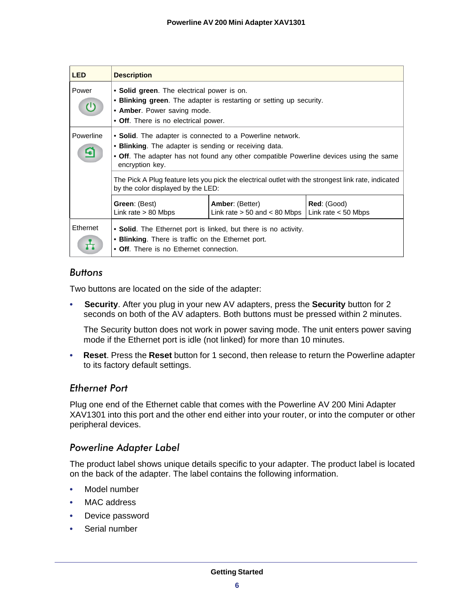| <b>LED</b>                   | <b>Description</b>                                                                                                                                                                       |                                                                                                     |                                      |
|------------------------------|------------------------------------------------------------------------------------------------------------------------------------------------------------------------------------------|-----------------------------------------------------------------------------------------------------|--------------------------------------|
| Power<br>$\mathcal{L}^{(1)}$ | • Solid green. The electrical power is on.<br>• Blinking green. The adapter is restarting or setting up security.<br>• Amber. Power saving mode.<br>• Off. There is no electrical power. |                                                                                                     |                                      |
| Powerline<br>4               | • Solid. The adapter is connected to a Powerline network.<br>• Blinking. The adapter is sending or receiving data.<br>encryption key.                                                    | • Off. The adapter has not found any other compatible Powerline devices using the same              |                                      |
|                              | by the color displayed by the LED:                                                                                                                                                       | The Pick A Plug feature lets you pick the electrical outlet with the strongest link rate, indicated |                                      |
|                              | Green: (Best)<br>Link rate $> 80$ Mbps                                                                                                                                                   | <b>Amber:</b> (Better)<br>Link rate $> 50$ and $< 80$ Mbps                                          | Red: (Good)<br>Link rate $<$ 50 Mbps |
| Ethernet                     | • Blinking. There is traffic on the Ethernet port.<br>• Off. There is no Ethernet connection.                                                                                            | • Solid. The Ethernet port is linked, but there is no activity.                                     |                                      |

#### *Buttons*

Two buttons are located on the side of the adapter:

**• Security**. After you plug in your new AV adapters, press the **Security** button for 2 seconds on both of the AV adapters. Both buttons must be pressed within 2 minutes.

The Security button does not work in power saving mode. The unit enters power saving mode if the Ethernet port is idle (not linked) for more than 10 minutes.

**• Reset**. Press the **Reset** button for 1 second, then release to return the Powerline adapter to its factory default settings.

#### *Ethernet Port*

Plug one end of the Ethernet cable that comes with the Powerline AV 200 Mini Adapter XAV1301 into this port and the other end either into your router, or into the computer or other peripheral devices.

#### *Powerline Adapter Label*

The product label shows unique details specific to your adapter. The product label is located on the back of the adapter. The label contains the following information.

- Model number
- MAC address
- Device password
- Serial number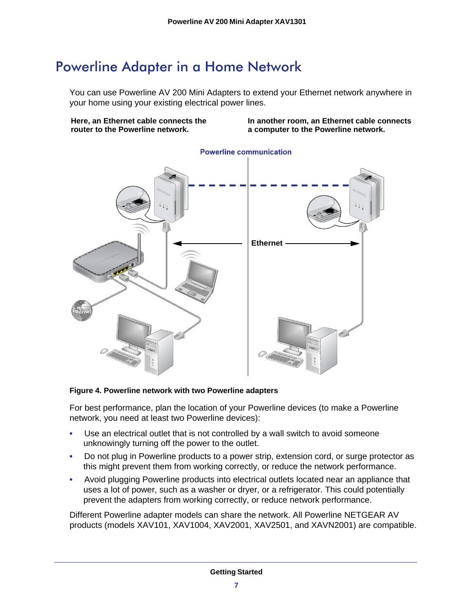## <span id="page-6-0"></span>Powerline Adapter in a Home Network

You can use Powerline AV 200 Mini Adapters to extend your Ethernet network anywhere in your home using your existing electrical power lines.

**Here, an Ethernet cable connects the router to the Powerline network.**

**In another room, an Ethernet cable connects a computer to the Powerline network.**



#### **Powerline communication**

#### **Figure 4. Powerline network with two Powerline adapters**

For best performance, plan the location of your Powerline devices (to make a Powerline network, you need at least two Powerline devices):

- Use an electrical outlet that is not controlled by a wall switch to avoid someone unknowingly turning off the power to the outlet.
- Do not plug in Powerline products to a power strip, extension cord, or surge protector as this might prevent them from working correctly, or reduce the network performance.
- Avoid plugging Powerline products into electrical outlets located near an appliance that uses a lot of power, such as a washer or dryer, or a refrigerator. This could potentially prevent the adapters from working correctly, or reduce network performance.

Different Powerline adapter models can share the network. All Powerline NETGEAR AV products (models XAV101, XAV1004, XAV2001, XAV2501, and XAVN2001) are compatible.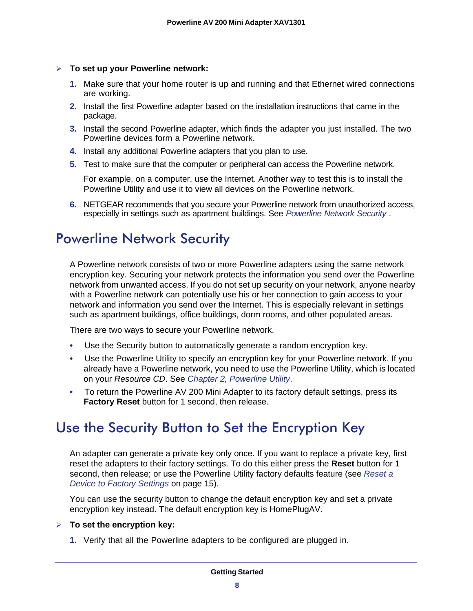#### **To set up your Powerline network:**

- **1.** Make sure that your home router is up and running and that Ethernet wired connections are working.
- **2.** Install the first Powerline adapter based on the installation instructions that came in the package.
- **3.** Install the second Powerline adapter, which finds the adapter you just installed. The two Powerline devices form a Powerline network.
- **4.** Install any additional Powerline adapters that you plan to use.
- **5.** Test to make sure that the computer or peripheral can access the Powerline network.

For example, on a computer, use the Internet. Another way to test this is to install the Powerline Utility and use it to view all devices on the Powerline network.

**6.** NETGEAR recommends that you secure your Powerline network from unauthorized access, especially in settings such as apartment buildings. See *[Powerline Network Security](#page-7-0)* .

## <span id="page-7-0"></span>Powerline Network Security

A Powerline network consists of two or more Powerline adapters using the same network encryption key. Securing your network protects the information you send over the Powerline network from unwanted access. If you do not set up security on your network, anyone nearby with a Powerline network can potentially use his or her connection to gain access to your network and information you send over the Internet. This is especially relevant in settings such as apartment buildings, office buildings, dorm rooms, and other populated areas.

There are two ways to secure your Powerline network.

- Use the Security button to automatically generate a random encryption key.
- Use the Powerline Utility to specify an encryption key for your Powerline network. If you already have a Powerline network, you need to use the Powerline Utility, which is located on your *Resource CD*. See *[Chapter 2, Powerline Utility](#page-9-1)*.
- To return the Powerline AV 200 Mini Adapter to its factory default settings, press its **Factory Reset** button for 1 second, then release.

## <span id="page-7-2"></span><span id="page-7-1"></span>Use the Security Button to Set the Encryption Key

An adapter can generate a private key only once. If you want to replace a private key, first reset the adapters to their factory settings. To do this either press the **Reset** button for 1 second, then release; or use the Powerline Utility factory defaults feature (see *[Reset a](#page-14-1)  [Device to Factory Settings](#page-14-1)* on page 15).

You can use the security button to change the default encryption key and set a private encryption key instead. The default encryption key is HomePlugAV.

#### **To set the encryption key:**

**1.** Verify that all the Powerline adapters to be configured are plugged in.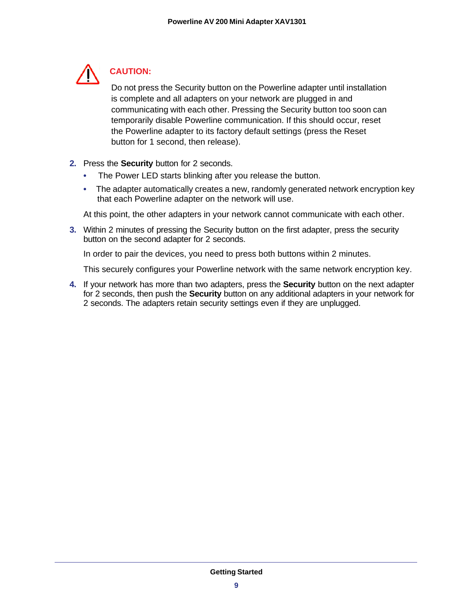

### **CAUTION:**

Do not press the Security button on the Powerline adapter until installation is complete and all adapters on your network are plugged in and communicating with each other. Pressing the Security button too soon can temporarily disable Powerline communication. If this should occur, reset the Powerline adapter to its factory default settings (press the Reset button for 1 second, then release).

- **2.** Press the **Security** button for 2 seconds.
	- The Power LED starts blinking after you release the button.
	- The adapter automatically creates a new, randomly generated network encryption key that each Powerline adapter on the network will use.

At this point, the other adapters in your network cannot communicate with each other.

**3.** Within 2 minutes of pressing the Security button on the first adapter, press the security button on the second adapter for 2 seconds.

In order to pair the devices, you need to press both buttons within 2 minutes.

This securely configures your Powerline network with the same network encryption key.

**4.** If your network has more than two adapters, press the **Security** button on the next adapter for 2 seconds, then push the **Security** button on any additional adapters in your network for 2 seconds. The adapters retain security settings even if they are unplugged.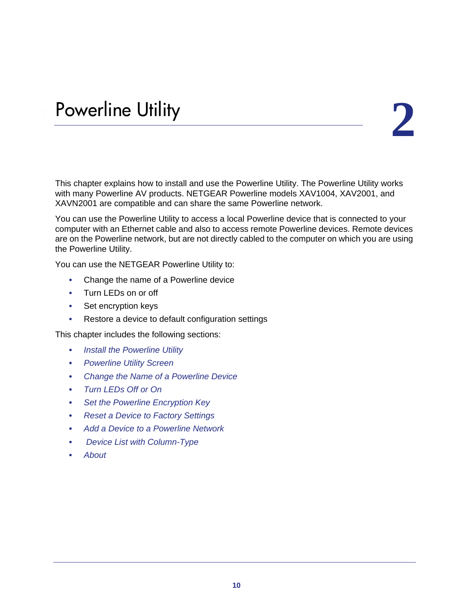# <span id="page-9-1"></span><span id="page-9-0"></span>Powerline Utility 2. **2. Powerline Utility**

This chapter explains how to install and use the Powerline Utility. The Powerline Utility works with many Powerline AV products. NETGEAR Powerline models XAV1004, XAV2001, and XAVN2001 are compatible and can share the same Powerline network.

You can use the Powerline Utility to access a local Powerline device that is connected to your computer with an Ethernet cable and also to access remote Powerline devices. Remote devices are on the Powerline network, but are not directly cabled to the computer on which you are using the Powerline Utility.

You can use the NETGEAR Powerline Utility to:

- Change the name of a Powerline device
- Turn LEDs on or off
- Set encryption keys
- Restore a device to default configuration settings

This chapter includes the following sections:

- *[Install the Powerline Utility](#page-10-0)*
- *[Powerline Utility Screen](#page-11-0)*
- *[Change the Name of a Powerline Device](#page-12-0)*
- *[Turn LEDs Off or On](#page-12-1)*
- *[Set the Powerline Encryption Key](#page-13-0)*
- *[Reset a Device to Factory Settings](#page-14-0)*
- *[Add a Device to a Powerline Network](#page-15-0)*
- *[Device List with Column-Type](#page-16-0)*
- *[About](#page-17-0)*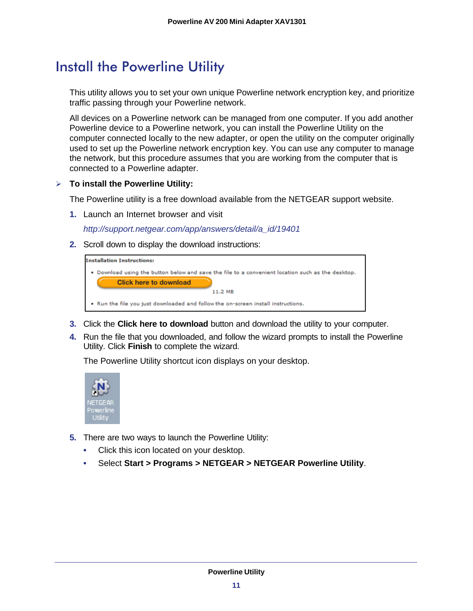## <span id="page-10-0"></span>Install the Powerline Utility

This utility allows you to set your own unique Powerline network encryption key, and prioritize traffic passing through your Powerline network.

All devices on a Powerline network can be managed from one computer. If you add another Powerline device to a Powerline network, you can install the Powerline Utility on the computer connected locally to the new adapter, or open the utility on the computer originally used to set up the Powerline network encryption key. You can use any computer to manage the network, but this procedure assumes that you are working from the computer that is connected to a Powerline adapter.

#### **To install the Powerline Utility:**

The Powerline utility is a free download available from the NETGEAR support website.

**1.** Launch an Internet browser and visit

*[http://support.netgear.com/app/answers/detail/a\\_id/19401](http://support.netgear.com/app/answers/detail/a_id/19401)*

**2.** Scroll down to display the download instructions:

| <b>Installation Instructions:</b>                                                                                                  |
|------------------------------------------------------------------------------------------------------------------------------------|
| . Download using the button below and save the file to a convenient location such as the desktop.<br><b>Click here to download</b> |
| 11.2 MB                                                                                                                            |
| . Run the file you just downloaded and follow the on-screen install instructions.                                                  |
|                                                                                                                                    |

- **3.** Click the **Click here to download** button and download the utility to your computer.
- **4.** Run the file that you downloaded, and follow the wizard prompts to install the Powerline Utility. Click **Finish** to complete the wizard.

The Powerline Utility shortcut icon displays on your desktop.



- **5.** There are two ways to launch the Powerline Utility:
	- Click this icon located on your desktop.
	- Select **Start > Programs > NETGEAR > NETGEAR Powerline Utility**.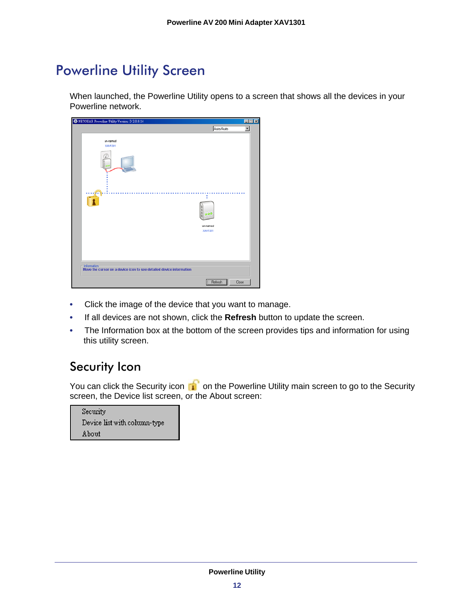## <span id="page-11-0"></span>Powerline Utility Screen

When launched, the Powerline Utility opens to a screen that shows all the devices in your Powerline network.

| <b>42 NETGEAR Powerline Utility Version: D 200.14</b>                               |                                        | $\Box$                   |
|-------------------------------------------------------------------------------------|----------------------------------------|--------------------------|
|                                                                                     | Auto/Auto                              | $\overline{\phantom{a}}$ |
| un-named<br><b>XAV1301</b><br>T                                                     | ٠<br>000<br>un-named<br><b>XAV1301</b> |                          |
| Information:<br>Move the cursor on a device icon to see detailed device information |                                        |                          |
|                                                                                     | Refresh<br>Close                       |                          |

- Click the image of the device that you want to manage.
- If all devices are not shown, click the **Refresh** button to update the screen.
- The Information box at the bottom of the screen provides tips and information for using this utility screen.

### <span id="page-11-1"></span>Security Icon

You can click the Security icon  $\mathbf{u}^{\dagger}$  on the Powerline Utility main screen to go to the Security screen, the Device list screen, or the About screen:

| Security                     |  |
|------------------------------|--|
| Device list with column-type |  |
| About                        |  |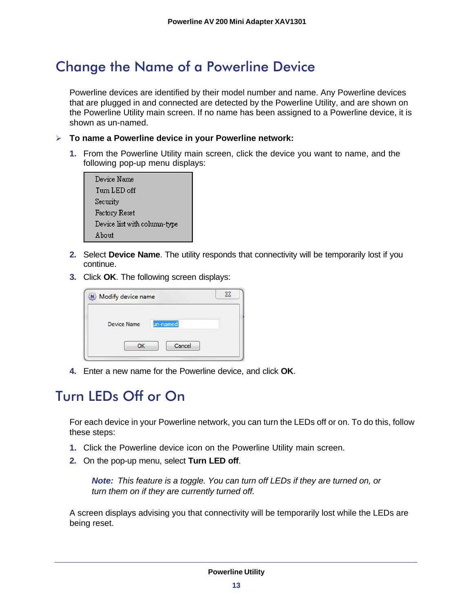## <span id="page-12-0"></span>Change the Name of a Powerline Device

Powerline devices are identified by their model number and name. Any Powerline devices that are plugged in and connected are detected by the Powerline Utility, and are shown on the Powerline Utility main screen. If no name has been assigned to a Powerline device, it is shown as un-named.

- **To name a Powerline device in your Powerline network:**
	- **1.** From the Powerline Utility main screen, click the device you want to name, and the following pop-up menu displays:

| Device Name                  |  |
|------------------------------|--|
| Tum LED off                  |  |
| Security                     |  |
| Factory Reset                |  |
| Device list with column-type |  |
| A hout                       |  |
|                              |  |

- **2.** Select **Device Name**. The utility responds that connectivity will be temporarily lost if you continue.
- **3.** Click **OK**. The following screen displays:

| Modify device name |          |  |
|--------------------|----------|--|
| Device Name        | un-named |  |
| OK                 | Cancel   |  |

**4.** Enter a new name for the Powerline device, and click **OK**.

## <span id="page-12-1"></span>Turn LEDs Off or On

For each device in your Powerline network, you can turn the LEDs off or on. To do this, follow these steps:

- **1.** Click the Powerline device icon on the Powerline Utility main screen.
- **2.** On the pop-up menu, select **Turn LED off**.

*Note: This feature is a toggle. You can turn off LEDs if they are turned on, or turn them on if they are currently turned off.*

A screen displays advising you that connectivity will be temporarily lost while the LEDs are being reset.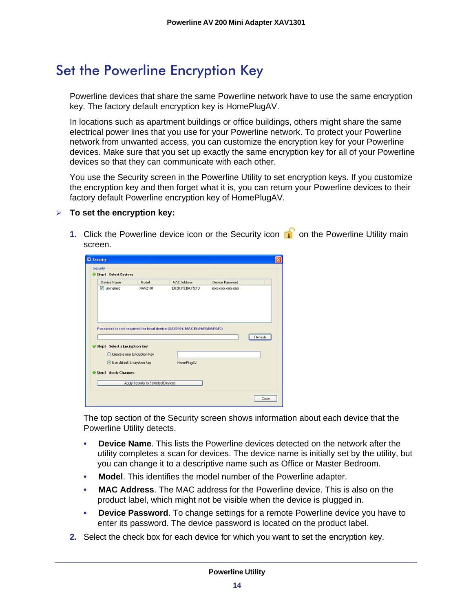## <span id="page-13-0"></span>Set the Powerline Encryption Key

Powerline devices that share the same Powerline network have to use the same encryption key. The factory default encryption key is HomePlugAV.

In locations such as apartment buildings or office buildings, others might share the same electrical power lines that you use for your Powerline network. To protect your Powerline network from unwanted access, you can customize the encryption key for your Powerline devices. Make sure that you set up exactly the same encryption key for all of your Powerline devices so that they can communicate with each other.

You use the Security screen in the Powerline Utility to set encryption keys. If you customize the encryption key and then forget what it is, you can return your Powerline devices to their factory default Powerline encryption key of HomePlugAV.

#### **To set the encryption key:**

**1.** Click the Powerline device icon or the Security icon **of** on the Powerline Utility main screen.

| Step1 Select Devices                                                    |                               |                                                                            |                         |
|-------------------------------------------------------------------------|-------------------------------|----------------------------------------------------------------------------|-------------------------|
| Device Name                                                             | Model                         | <b>MAC Address</b>                                                         | Device Password         |
| v un-named                                                              | XAV2101                       | E0:91:F5:BA:F5:F3                                                          | 30000-30000-30000-30000 |
|                                                                         |                               |                                                                            |                         |
|                                                                         |                               | Password is not required for local device (XAV2101, MAC E0:91:F5:BA:F5:F3) | Refresh                 |
| <b>Step2</b> Select a Encryption Key<br>$\bullet$                       |                               |                                                                            |                         |
|                                                                         | O Create a new Encryption Key |                                                                            |                         |
| <b>O Use default Encryption Key</b><br><b>Step3 Apply Changes</b><br>61 |                               | HomePlugAV                                                                 |                         |

The top section of the Security screen shows information about each device that the Powerline Utility detects.

- **Device Name**. This lists the Powerline devices detected on the network after the utility completes a scan for devices. The device name is initially set by the utility, but you can change it to a descriptive name such as Office or Master Bedroom.
- **Model**. This identifies the model number of the Powerline adapter.
- **MAC Address**. The MAC address for the Powerline device. This is also on the product label, which might not be visible when the device is plugged in.
- **Device Password**. To change settings for a remote Powerline device you have to enter its password. The device password is located on the product label.
- **2.** Select the check box for each device for which you want to set the encryption key.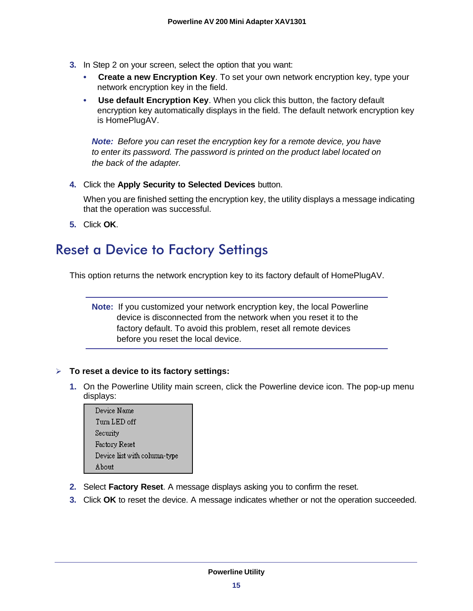- **3.** In Step 2 on your screen, select the option that you want:
	- **Create a new Encryption Key**. To set your own network encryption key, type your network encryption key in the field.
	- **Use default Encryption Key**. When you click this button, the factory default encryption key automatically displays in the field. The default network encryption key is HomePlugAV.

*Note: Before you can reset the encryption key for a remote device, you have to enter its password. The password is printed on the product label located on the back of the adapter.*

**4.** Click the **Apply Security to Selected Devices** button.

When you are finished setting the encryption key, the utility displays a message indicating that the operation was successful.

**5.** Click **OK**.

## <span id="page-14-1"></span><span id="page-14-0"></span>Reset a Device to Factory Settings

This option returns the network encryption key to its factory default of HomePlugAV.

**Note:** If you customized your network encryption key, the local Powerline device is disconnected from the network when you reset it to the factory default. To avoid this problem, reset all remote devices before you reset the local device.

#### **To reset a device to its factory settings:**

**1.** On the Powerline Utility main screen, click the Powerline device icon. The pop-up menu displays:

| Device Name                  |
|------------------------------|
| Tum LED off                  |
| Security                     |
| Factory Reset                |
| Device list with column-type |
| <b>About</b>                 |

- **2.** Select **Factory Reset**. A message displays asking you to confirm the reset.
- **3.** Click **OK** to reset the device. A message indicates whether or not the operation succeeded.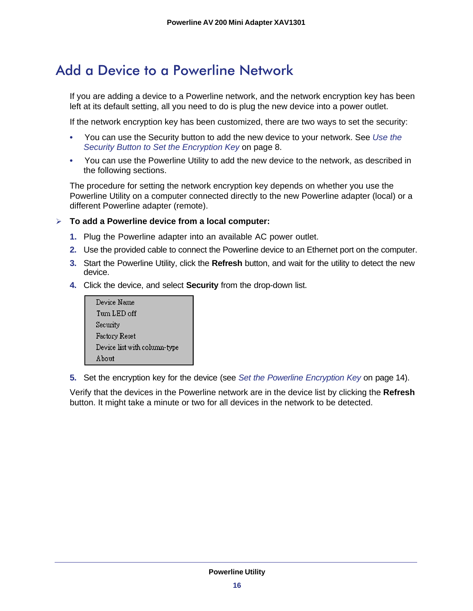## <span id="page-15-0"></span>Add a Device to a Powerline Network

If you are adding a device to a Powerline network, and the network encryption key has been left at its default setting, all you need to do is plug the new device into a power outlet.

If the network encryption key has been customized, there are two ways to set the security:

- You can use the Security button to add the new device to your network. See *[Use the](#page-7-2)  [Security Button to Set the Encryption Key](#page-7-2)* on page 8.
- You can use the Powerline Utility to add the new device to the network, as described in the following sections.

The procedure for setting the network encryption key depends on whether you use the Powerline Utility on a computer connected directly to the new Powerline adapter (local) or a different Powerline adapter (remote).

#### **To add a Powerline device from a local computer:**

- **1.** Plug the Powerline adapter into an available AC power outlet.
- **2.** Use the provided cable to connect the Powerline device to an Ethernet port on the computer.
- **3.** Start the Powerline Utility, click the **Refresh** button, and wait for the utility to detect the new device.
- **4.** Click the device, and select **Security** from the drop-down list.



**5.** Set the encryption key for the device (see *[Set the Powerline Encryption Key](#page-13-0)* on page 14).

Verify that the devices in the Powerline network are in the device list by clicking the **Refresh** button. It might take a minute or two for all devices in the network to be detected.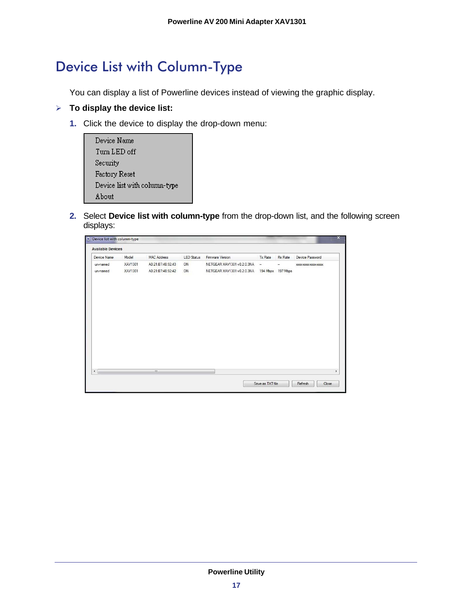## <span id="page-16-0"></span>Device List with Column-Type

You can display a list of Powerline devices instead of viewing the graphic display.

#### **To display the device list:**

**1.** Click the device to display the drop-down menu:

| Device Name                  |
|------------------------------|
| Tum LED off                  |
| Security                     |
| Factory Reset                |
| Device list with column-type |
| A hout                       |

**2.** Select **Device list with column-type** from the drop-down list, and the following screen displays:

| <b>Available Devices</b> |                |                    |                   |                            |               |                          |                     |
|--------------------------|----------------|--------------------|-------------------|----------------------------|---------------|--------------------------|---------------------|
| Device Name              | Model          | <b>MAC Address</b> | <b>LED Status</b> | Firmware Version           | Tx Rate       | <b>Rx Rate</b>           | Device Password     |
| un-named                 | XAV1301        | A0:21:B7:48:92:43  | ON                | NETGEAR XAV1301 v0.2.0.3NA | $\frac{1}{2}$ | $\overline{\phantom{a}}$ | XXXX-XXXX-XXXX-XXXX |
| un-named                 | <b>XAV1301</b> | A0:21:B7:48:92:42  | ON                | NETGEAR XAV1301 v0.2.0.3NA |               | 194 Mbps 197 Mbps        |                     |
|                          |                |                    |                   |                            |               |                          |                     |
|                          |                |                    |                   |                            |               |                          |                     |
|                          |                |                    |                   |                            |               |                          |                     |
|                          |                |                    |                   |                            |               |                          |                     |
|                          |                |                    |                   |                            |               |                          |                     |
|                          |                |                    |                   |                            |               |                          |                     |
|                          |                |                    |                   |                            |               |                          |                     |
|                          |                |                    |                   |                            |               |                          |                     |
|                          |                |                    |                   |                            |               |                          |                     |
|                          |                |                    |                   |                            |               |                          |                     |
| $\blacktriangleleft$     |                | $\mathbf{m}$       |                   |                            |               |                          |                     |
|                          |                |                    |                   |                            |               |                          |                     |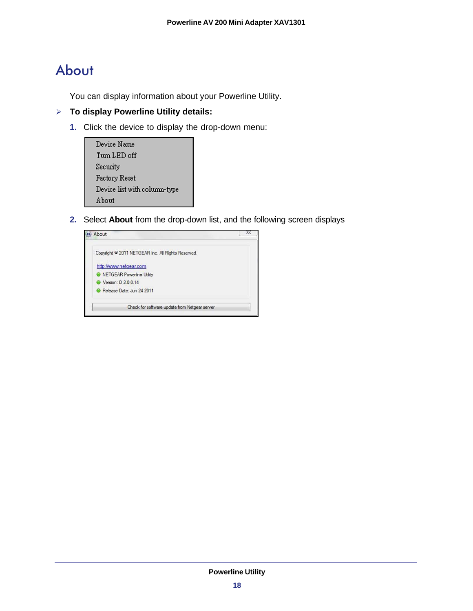## <span id="page-17-0"></span>About

You can display information about your Powerline Utility.

- **To display Powerline Utility details:**
	- **1.** Click the device to display the drop-down menu:

| Device Name                  |  |
|------------------------------|--|
| Tum LED off.                 |  |
| Security                     |  |
| Factory Reset                |  |
| Device list with column-type |  |
| A hout                       |  |

**2.** Select **About** from the drop-down list, and the following screen displays

<span id="page-17-1"></span>

| About                                                         |  |
|---------------------------------------------------------------|--|
| Copyright <sup>©</sup> 2011 NETGEAR Inc. All Rights Reserved. |  |
| http://www.netgear.com                                        |  |
| <b>O</b> NETGEAR Powerline Utility                            |  |
| ● Version: D 2.0.0.14                                         |  |
| Release Date: Jun 24 2011                                     |  |
| Check for software update from Netgear server                 |  |
|                                                               |  |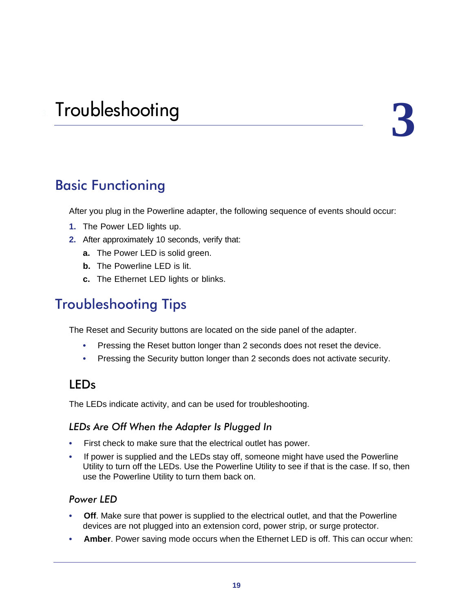## <span id="page-18-1"></span><span id="page-18-0"></span>Basic Functioning

After you plug in the Powerline adapter, the following sequence of events should occur:

- **1.** The Power LED lights up.
- **2.** After approximately 10 seconds, verify that:
	- **a.** The Power LED is solid green.
	- **b.** The Powerline LED is lit.
	- **c.** The Ethernet LED lights or blinks.

## <span id="page-18-2"></span>Troubleshooting Tips

The Reset and Security buttons are located on the side panel of the adapter.

- Pressing the Reset button longer than 2 seconds does not reset the device.
- Pressing the Security button longer than 2 seconds does not activate security.

### <span id="page-18-3"></span>LEDs

The LEDs indicate activity, and can be used for troubleshooting.

#### *LEDs Are Off When the Adapter Is Plugged In*

- First check to make sure that the electrical outlet has power.
- If power is supplied and the LEDs stay off, someone might have used the Powerline Utility to turn off the LEDs. Use the Powerline Utility to see if that is the case. If so, then use the Powerline Utility to turn them back on.

#### *Power LED*

- **Off.** Make sure that power is supplied to the electrical outlet, and that the Powerline devices are not plugged into an extension cord, power strip, or surge protector.
- **Amber**. Power saving mode occurs when the Ethernet LED is off. This can occur when: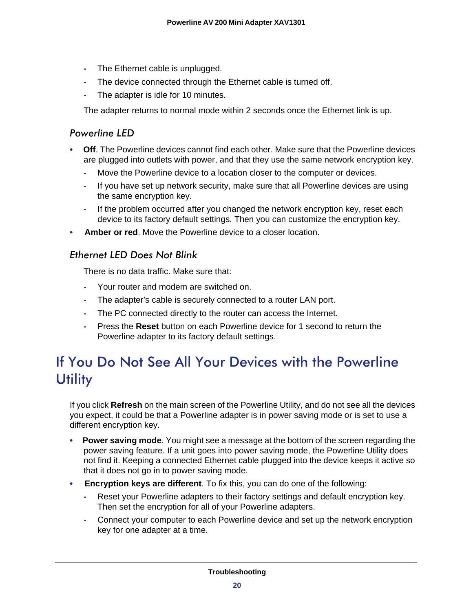- **-** The Ethernet cable is unplugged.
- **-** The device connected through the Ethernet cable is turned off.
- **-** The adapter is idle for 10 minutes.

The adapter returns to normal mode within 2 seconds once the Ethernet link is up.

#### *Powerline LED*

- **Off**. The Powerline devices cannot find each other. Make sure that the Powerline devices are plugged into outlets with power, and that they use the same network encryption key.
	- **-** Move the Powerline device to a location closer to the computer or devices.
	- **-** If you have set up network security, make sure that all Powerline devices are using the same encryption key.
	- **-** If the problem occurred after you changed the network encryption key, reset each device to its factory default settings. Then you can customize the encryption key.
- **Amber or red**. Move the Powerline device to a closer location.

#### *Ethernet LED Does Not Blink*

There is no data traffic. Make sure that:

- **-** Your router and modem are switched on.
- **-** The adapter's cable is securely connected to a router LAN port.
- **-** The PC connected directly to the router can access the Internet.
- **-** Press the **Reset** button on each Powerline device for 1 second to return the Powerline adapter to its factory default settings.

## <span id="page-19-0"></span>If You Do Not See All Your Devices with the Powerline **Utility**

If you click **Refresh** on the main screen of the Powerline Utility, and do not see all the devices you expect, it could be that a Powerline adapter is in power saving mode or is set to use a different encryption key.

- **Power saving mode.** You might see a message at the bottom of the screen regarding the power saving feature. If a unit goes into power saving mode, the Powerline Utility does not find it. Keeping a connected Ethernet cable plugged into the device keeps it active so that it does not go in to power saving mode.
- **Encryption keys are different**. To fix this, you can do one of the following:
	- **-** Reset your Powerline adapters to their factory settings and default encryption key. Then set the encryption for all of your Powerline adapters.
	- **-** Connect your computer to each Powerline device and set up the network encryption key for one adapter at a time.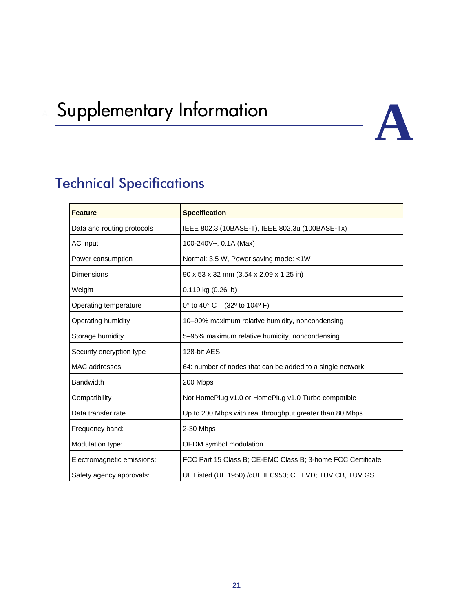## <span id="page-20-0"></span>Supplementary Information



## <span id="page-20-1"></span>Technical Specifications

| <b>Feature</b>             | <b>Specification</b>                                        |
|----------------------------|-------------------------------------------------------------|
| Data and routing protocols | IEEE 802.3 (10BASE-T), IEEE 802.3u (100BASE-Tx)             |
| AC input                   | 100-240V~, 0.1A (Max)                                       |
| Power consumption          | Normal: 3.5 W, Power saving mode: <1W                       |
| Dimensions                 | 90 x 53 x 32 mm (3.54 x 2.09 x 1.25 in)                     |
| Weight                     | 0.119 kg (0.26 lb)                                          |
| Operating temperature      | 0° to 40° C (32° to 104° F)                                 |
| Operating humidity         | 10-90% maximum relative humidity, noncondensing             |
| Storage humidity           | 5-95% maximum relative humidity, noncondensing              |
| Security encryption type   | 128-bit AES                                                 |
| MAC addresses              | 64: number of nodes that can be added to a single network   |
| <b>Bandwidth</b>           | 200 Mbps                                                    |
| Compatibility              | Not HomePlug v1.0 or HomePlug v1.0 Turbo compatible         |
| Data transfer rate         | Up to 200 Mbps with real throughput greater than 80 Mbps    |
| Frequency band:            | 2-30 Mbps                                                   |
| Modulation type:           | OFDM symbol modulation                                      |
| Electromagnetic emissions: | FCC Part 15 Class B; CE-EMC Class B; 3-home FCC Certificate |
| Safety agency approvals:   | UL Listed (UL 1950) / cUL IEC950; CE LVD; TUV CB, TUV GS    |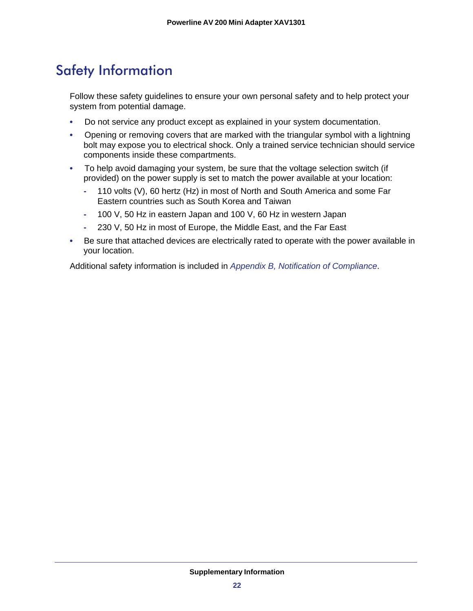## <span id="page-21-0"></span>Safety Information

Follow these safety guidelines to ensure your own personal safety and to help protect your system from potential damage.

- Do not service any product except as explained in your system documentation.
- Opening or removing covers that are marked with the triangular symbol with a lightning bolt may expose you to electrical shock. Only a trained service technician should service components inside these compartments.
- To help avoid damaging your system, be sure that the voltage selection switch (if provided) on the power supply is set to match the power available at your location:
	- **-** 110 volts (V), 60 hertz (Hz) in most of North and South America and some Far Eastern countries such as South Korea and Taiwan
	- **-** 100 V, 50 Hz in eastern Japan and 100 V, 60 Hz in western Japan
	- **-** 230 V, 50 Hz in most of Europe, the Middle East, and the Far East
- Be sure that attached devices are electrically rated to operate with the power available in your location.

Additional safety information is included in *[Appendix B, Notification of Compliance](#page-22-1)*.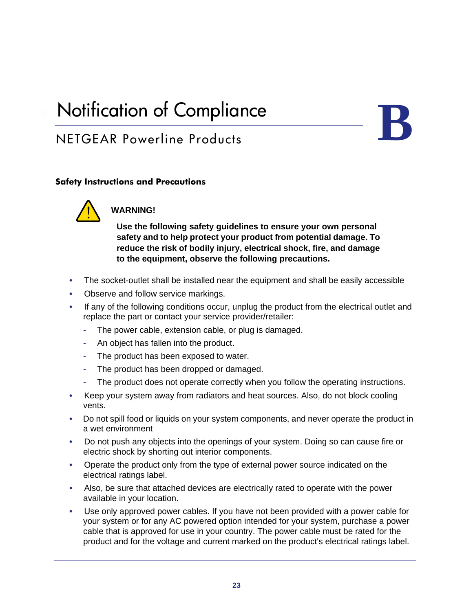## <span id="page-22-1"></span><span id="page-22-0"></span>**Notification of Compliance**

## NETGEAR Powerline Products



#### **Safety Instructions and Precautions**



#### **WARNING!**

**Use the following safety guidelines to ensure your own personal safety and to help protect your product from potential damage. To reduce the risk of bodily injury, electrical shock, fire, and damage to the equipment, observe the following precautions.** 

- The socket-outlet shall be installed near the equipment and shall be easily accessible
- Observe and follow service markings.
- If any of the following conditions occur, unplug the product from the electrical outlet and replace the part or contact your service provider/retailer:
	- **-** The power cable, extension cable, or plug is damaged.
	- **-** An object has fallen into the product.
	- **-** The product has been exposed to water.
	- **-** The product has been dropped or damaged.
	- **-** The product does not operate correctly when you follow the operating instructions.
- Keep your system away from radiators and heat sources. Also, do not block cooling vents.
- Do not spill food or liquids on your system components, and never operate the product in a wet environment
- Do not push any objects into the openings of your system. Doing so can cause fire or electric shock by shorting out interior components.
- Operate the product only from the type of external power source indicated on the electrical ratings label.
- Also, be sure that attached devices are electrically rated to operate with the power available in your location.
- Use only approved power cables. If you have not been provided with a power cable for your system or for any AC powered option intended for your system, purchase a power cable that is approved for use in your country. The power cable must be rated for the product and for the voltage and current marked on the product's electrical ratings label.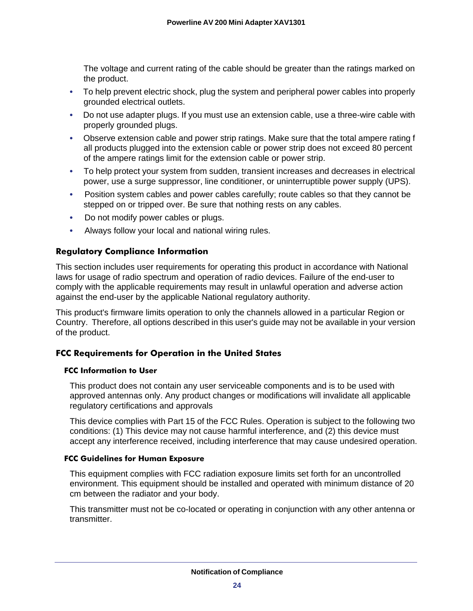The voltage and current rating of the cable should be greater than the ratings marked on the product.

- To help prevent electric shock, plug the system and peripheral power cables into properly grounded electrical outlets.
- Do not use adapter plugs. If you must use an extension cable, use a three-wire cable with properly grounded plugs.
- Observe extension cable and power strip ratings. Make sure that the total ampere rating f all products plugged into the extension cable or power strip does not exceed 80 percent of the ampere ratings limit for the extension cable or power strip.
- To help protect your system from sudden, transient increases and decreases in electrical power, use a surge suppressor, line conditioner, or uninterruptible power supply (UPS).
- Position system cables and power cables carefully; route cables so that they cannot be stepped on or tripped over. Be sure that nothing rests on any cables.
- Do not modify power cables or plugs.
- Always follow your local and national wiring rules.

#### **Regulatory Compliance Information**

This section includes user requirements for operating this product in accordance with National laws for usage of radio spectrum and operation of radio devices. Failure of the end-user to comply with the applicable requirements may result in unlawful operation and adverse action against the end-user by the applicable National regulatory authority.

This product's firmware limits operation to only the channels allowed in a particular Region or Country. Therefore, all options described in this user's guide may not be available in your version of the product.

#### **FCC Requirements for Operation in the United States**

#### **FCC Information to User**

This product does not contain any user serviceable components and is to be used with approved antennas only. Any product changes or modifications will invalidate all applicable regulatory certifications and approvals

This device complies with Part 15 of the FCC Rules. Operation is subject to the following two conditions: (1) This device may not cause harmful interference, and (2) this device must accept any interference received, including interference that may cause undesired operation.

#### **FCC Guidelines for Human Exposure**

This equipment complies with FCC radiation exposure limits set forth for an uncontrolled environment. This equipment should be installed and operated with minimum distance of 20 cm between the radiator and your body.

This transmitter must not be co-located or operating in conjunction with any other antenna or transmitter.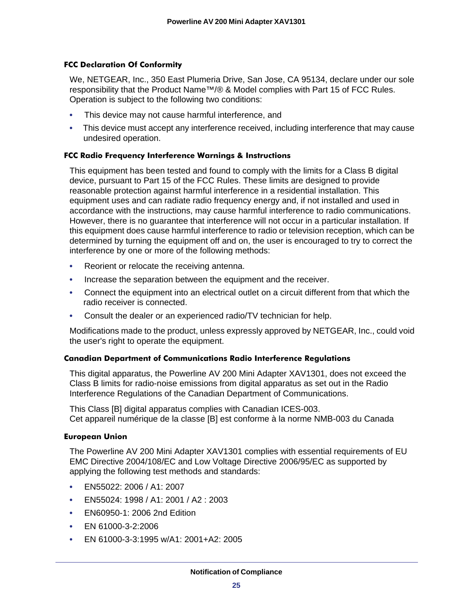#### **FCC Declaration Of Conformity**

We, NETGEAR, Inc., 350 East Plumeria Drive, San Jose, CA 95134, declare under our sole responsibility that the Product Name™/® & Model complies with Part 15 of FCC Rules. Operation is subject to the following two conditions:

- This device may not cause harmful interference, and
- This device must accept any interference received, including interference that may cause undesired operation.

#### **FCC Radio Frequency Interference Warnings & Instructions**

This equipment has been tested and found to comply with the limits for a Class B digital device, pursuant to Part 15 of the FCC Rules. These limits are designed to provide reasonable protection against harmful interference in a residential installation. This equipment uses and can radiate radio frequency energy and, if not installed and used in accordance with the instructions, may cause harmful interference to radio communications. However, there is no guarantee that interference will not occur in a particular installation. If this equipment does cause harmful interference to radio or television reception, which can be determined by turning the equipment off and on, the user is encouraged to try to correct the interference by one or more of the following methods:

- Reorient or relocate the receiving antenna.
- Increase the separation between the equipment and the receiver.
- Connect the equipment into an electrical outlet on a circuit different from that which the radio receiver is connected.
- Consult the dealer or an experienced radio/TV technician for help.

Modifications made to the product, unless expressly approved by NETGEAR, Inc., could void the user's right to operate the equipment.

#### **Canadian Department of Communications Radio Interference Regulations**

This digital apparatus, the Powerline AV 200 Mini Adapter XAV1301, does not exceed the Class B limits for radio-noise emissions from digital apparatus as set out in the Radio Interference Regulations of the Canadian Department of Communications.

This Class [B] digital apparatus complies with Canadian ICES-003. Cet appareil numérique de la classe [B] est conforme à la norme NMB-003 du Canada

#### **European Union**

The Powerline AV 200 Mini Adapter XAV1301 complies with essential requirements of EU EMC Directive 2004/108/EC and Low Voltage Directive 2006/95/EC as supported by applying the following test methods and standards:

- EN55022: 2006 / A1: 2007
- EN55024: 1998 / A1: 2001 / A2 : 2003
- EN60950-1: 2006 2nd Edition
- EN 61000-3-2:2006
- EN 61000-3-3:1995 w/A1: 2001+A2: 2005